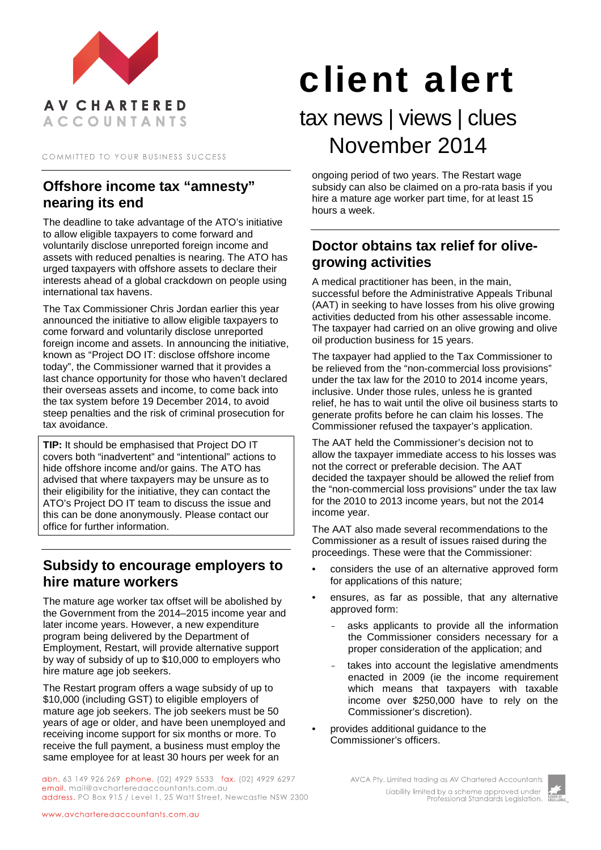

COMMITTED TO YOUR BUSINESS SUCCESS

# **Offshore income tax "amnesty" nearing its end**

The deadline to take advantage of the ATO's initiative to allow eligible taxpayers to come forward and voluntarily disclose unreported foreign income and assets with reduced penalties is nearing. The ATO has urged taxpayers with offshore assets to declare their interests ahead of a global crackdown on people using international tax havens.

The Tax Commissioner Chris Jordan earlier this year announced the initiative to allow eligible taxpayers to come forward and voluntarily disclose unreported foreign income and assets. In announcing the initiative, known as "Project DO IT: disclose offshore income today", the Commissioner warned that it provides a last chance opportunity for those who haven't declared their overseas assets and income, to come back into the tax system before 19 December 2014, to avoid steep penalties and the risk of criminal prosecution for tax avoidance.

**TIP:** It should be emphasised that Project DO IT covers both "inadvertent" and "intentional" actions to hide offshore income and/or gains. The ATO has advised that where taxpayers may be unsure as to their eligibility for the initiative, they can contact the ATO's Project DO IT team to discuss the issue and this can be done anonymously. Please contact our office for further information.

#### **Subsidy to encourage employers to hire mature workers**

The mature age worker tax offset will be abolished by the Government from the 2014–2015 income year and later income years. However, a new expenditure program being delivered by the Department of Employment, Restart, will provide alternative support by way of subsidy of up to \$10,000 to employers who hire mature age job seekers.

The Restart program offers a wage subsidy of up to \$10,000 (including GST) to eligible employers of mature age job seekers. The job seekers must be 50 years of age or older, and have been unemployed and receiving income support for six months or more. To receive the full payment, a business must employ the same employee for at least 30 hours per week for an

abn. 63 149 926 269 phone. (02) 4929 5533 fax. (02) 4929 6297 email. mail@avcharteredaccountants.com.au address. PO Box 915 / Level 1, 25 Watt Street, Newcastle NSW 2300

# client alert

# tax news | views | clues November 2014

ongoing period of two years. The Restart wage subsidy can also be claimed on a pro-rata basis if you hire a mature age worker part time, for at least 15 hours a week.

# **Doctor obtains tax relief for olivegrowing activities**

A medical practitioner has been, in the main, successful before the Administrative Appeals Tribunal (AAT) in seeking to have losses from his olive growing activities deducted from his other assessable income. The taxpayer had carried on an olive growing and olive oil production business for 15 years.

The taxpayer had applied to the Tax Commissioner to be relieved from the "non-commercial loss provisions" under the tax law for the 2010 to 2014 income years, inclusive. Under those rules, unless he is granted relief, he has to wait until the olive oil business starts to generate profits before he can claim his losses. The Commissioner refused the taxpayer's application.

The AAT held the Commissioner's decision not to allow the taxpayer immediate access to his losses was not the correct or preferable decision. The AAT decided the taxpayer should be allowed the relief from the "non-commercial loss provisions" under the tax law for the 2010 to 2013 income years, but not the 2014 income year.

The AAT also made several recommendations to the Commissioner as a result of issues raised during the proceedings. These were that the Commissioner:

- considers the use of an alternative approved form for applications of this nature;
- ensures, as far as possible, that any alternative approved form:
	- asks applicants to provide all the information the Commissioner considers necessary for a proper consideration of the application; and
	- takes into account the legislative amendments enacted in 2009 (ie the income requirement which means that taxpayers with taxable income over \$250,000 have to rely on the Commissioner's discretion).
- provides additional guidance to the Commissioner's officers.